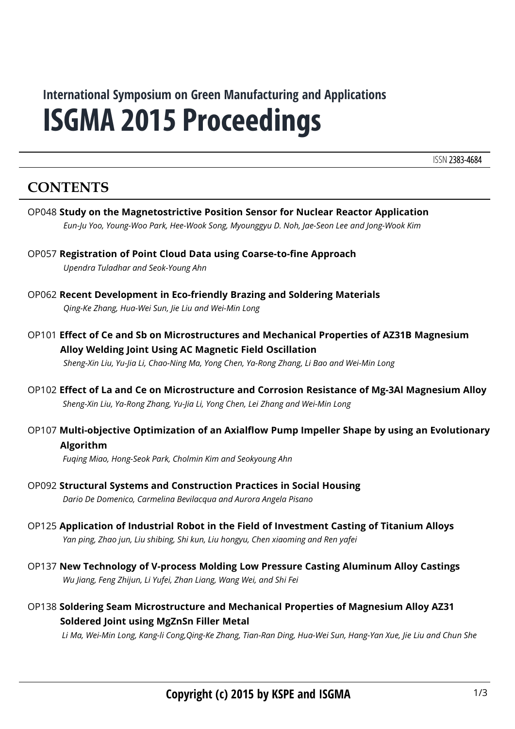# **ISGMA 2015 Proceedings International Symposium on Green Manufacturing and Applications**

ISSN 2383-4684

## **CONTENTS**

- OP048 **Study on the Magnetostrictive Position Sensor for Nuclear Reactor Application** *Eun-Ju Yoo, Young-Woo Park, Hee-Wook Song, Myounggyu D. Noh, Jae-Seon Lee and Jong-Wook Kim*
- OP057 **Registration of Point Cloud Data using Coarse-to-fine Approach** *Upendra Tuladhar and Seok-Young Ahn*
- OP062 **Recent Development in Eco-friendly Brazing and Soldering Materials** *Qing-Ke Zhang, Hua-Wei Sun, Jie Liu and Wei-Min Long*
- OP101 **Effect of Ce and Sb on Microstructures and Mechanical Properties of AZ31B Magnesium Alloy Welding Joint Using AC Magnetic Field Oscillation** *Sheng-Xin Liu, Yu-Jia Li, Chao-Ning Ma, Yong Chen, Ya-Rong Zhang, Li Bao and Wei-Min Long*
- OP102 **Effect of La and Ce on Microstructure and Corrosion Resistance of Mg-3Al Magnesium Alloy** *Sheng-Xin Liu, Ya-Rong Zhang, Yu-Jia Li, Yong Chen, Lei Zhang and Wei-Min Long*
- OP107 **Multi-objective Optimization of an Axialflow Pump Impeller Shape by using an Evolutionary Algorithm**

*Fuqing Miao, Hong-Seok Park, Cholmin Kim and Seokyoung Ahn*

- OP125 **Application of Industrial Robot in the Field of Investment Casting of Titanium Alloys** *Yan ping, Zhao jun, Liu shibing, Shi kun, Liu hongyu, Chen xiaoming and Ren yafei*
- OP137 **New Technology of V-process Molding Low Pressure Casting Aluminum Alloy Castings** *Wu Jiang, Feng Zhijun, Li Yufei, Zhan Liang, Wang Wei, and Shi Fei*
- OP138 **Soldering Seam Microstructure and Mechanical Properties of Magnesium Alloy AZ31 Soldered Joint using MgZnSn Filler Metal**

*Li Ma, Wei-Min Long, Kang-li Cong,Qing-Ke Zhang, Tian-Ran Ding, Hua-Wei Sun, Hang-Yan Xue, Jie Liu and Chun She*

OP092 **Structural Systems and Construction Practices in Social Housing** *Dario De Domenico, Carmelina Bevilacqua and Aurora Angela Pisano*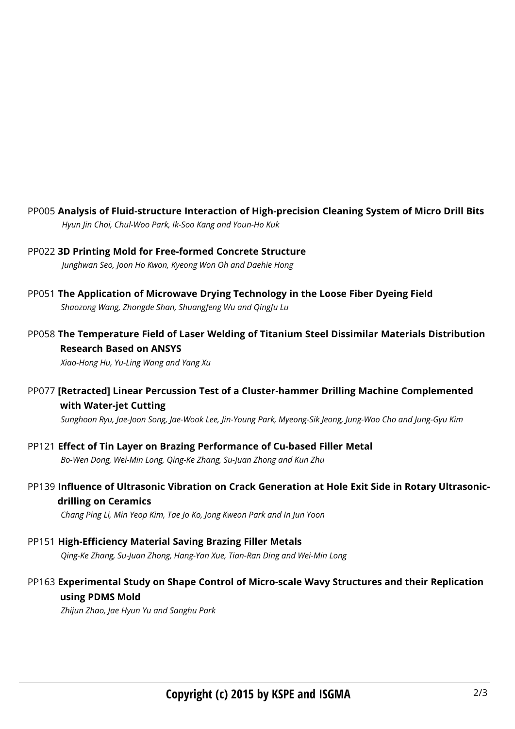- PP005 **Analysis of Fluid-structure Interaction of High-precision Cleaning System of Micro Drill Bits** *Hyun Jin Choi, Chul-Woo Park, Ik-Soo Kang and Youn-Ho Kuk*
- PP022 **3D Printing Mold for Free-formed Concrete Structure** *Junghwan Seo, Joon Ho Kwon, Kyeong Won Oh and Daehie Hong*
- PP051 **The Application of Microwave Drying Technology in the Loose Fiber Dyeing Field** *Shaozong Wang, Zhongde Shan, Shuangfeng Wu and Qingfu Lu*
- PP058 **The Temperature Field of Laser Welding of Titanium Steel Dissimilar Materials Distribution Research Based on ANSYS**

*Xiao-Hong Hu, Yu-Ling Wang and Yang Xu*

PP077 **[Retracted] Linear Percussion Test of a Cluster-hammer Drilling Machine Complemented with Water-jet Cutting** 

*Sunghoon Ryu, Jae-Joon Song, Jae-Wook Lee, Jin-Young Park, Myeong-Sik Jeong, Jung-Woo Cho and Jung-Gyu Kim*

- PP121 **Effect of Tin Layer on Brazing Performance of Cu-based Filler Metal** *Bo-Wen Dong, Wei-Min Long, Qing-Ke Zhang, Su-Juan Zhong and Kun Zhu*
- PP139 **Influence of Ultrasonic Vibration on Crack Generation at Hole Exit Side in Rotary Ultrasonicdrilling on Ceramics**

*Chang Ping Li, Min Yeop Kim, Tae Jo Ko, Jong Kweon Park and In Jun Yoon*

- PP151 **High-Efficiency Material Saving Brazing Filler Metals** *Qing-Ke Zhang, Su-Juan Zhong, Hang-Yan Xue, Tian-Ran Ding and Wei-Min Long*
- PP163 **Experimental Study on Shape Control of Micro-scale Wavy Structures and their Replication using PDMS Mold**

*Zhijun Zhao, Jae Hyun Yu and Sanghu Park*